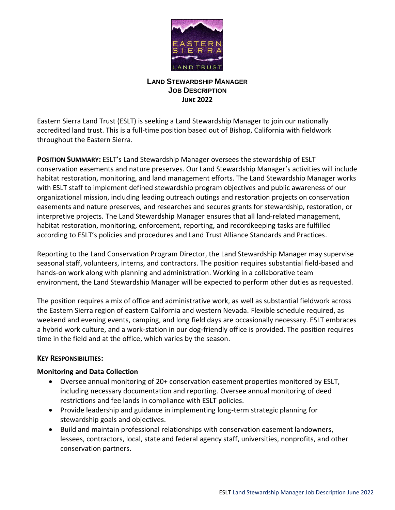

# **LAND STEWARDSHIP MANAGER JOB DESCRIPTION JUNE 2022**

Eastern Sierra Land Trust (ESLT) is seeking a Land Stewardship Manager to join our nationally accredited land trust. This is a full-time position based out of Bishop, California with fieldwork throughout the Eastern Sierra.

**POSITION SUMMARY:** ESLT's Land Stewardship Manager oversees the stewardship of ESLT conservation easements and nature preserves. Our Land Stewardship Manager's activities will include habitat restoration, monitoring, and land management efforts. The Land Stewardship Manager works with ESLT staff to implement defined stewardship program objectives and public awareness of our organizational mission, including leading outreach outings and restoration projects on conservation easements and nature preserves, and researches and secures grants for stewardship, restoration, or interpretive projects. The Land Stewardship Manager ensures that all land-related management, habitat restoration, monitoring, enforcement, reporting, and recordkeeping tasks are fulfilled according to ESLT's policies and procedures and Land Trust Alliance Standards and Practices.

Reporting to the Land Conservation Program Director, the Land Stewardship Manager may supervise seasonal staff, volunteers, interns, and contractors. The position requires substantial field-based and hands-on work along with planning and administration. Working in a collaborative team environment, the Land Stewardship Manager will be expected to perform other duties as requested.

The position requires a mix of office and administrative work, as well as substantial fieldwork across the Eastern Sierra region of eastern California and western Nevada. Flexible schedule required, as weekend and evening events, camping, and long field days are occasionally necessary. ESLT embraces a hybrid work culture, and a work-station in our dog-friendly office is provided. The position requires time in the field and at the office, which varies by the season.

# **KEY RESPONSIBILITIES:**

# **Monitoring and Data Collection**

- Oversee annual monitoring of 20+ conservation easement properties monitored by ESLT, including necessary documentation and reporting. Oversee annual monitoring of deed restrictions and fee lands in compliance with ESLT policies.
- Provide leadership and guidance in implementing long-term strategic planning for stewardship goals and objectives.
- Build and maintain professional relationships with conservation easement landowners, lessees, contractors, local, state and federal agency staff, universities, nonprofits, and other conservation partners.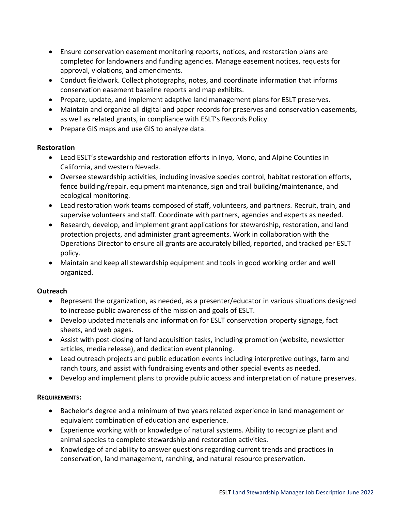- Ensure conservation easement monitoring reports, notices, and restoration plans are completed for landowners and funding agencies. Manage easement notices, requests for approval, violations, and amendments.
- Conduct fieldwork. Collect photographs, notes, and coordinate information that informs conservation easement baseline reports and map exhibits.
- Prepare, update, and implement adaptive land management plans for ESLT preserves.
- Maintain and organize all digital and paper records for preserves and conservation easements, as well as related grants, in compliance with ESLT's Records Policy.
- Prepare GIS maps and use GIS to analyze data.

#### **Restoration**

- Lead ESLT's stewardship and restoration efforts in Inyo, Mono, and Alpine Counties in California, and western Nevada.
- Oversee stewardship activities, including invasive species control, habitat restoration efforts, fence building/repair, equipment maintenance, sign and trail building/maintenance, and ecological monitoring.
- Lead restoration work teams composed of staff, volunteers, and partners. Recruit, train, and supervise volunteers and staff. Coordinate with partners, agencies and experts as needed.
- Research, develop, and implement grant applications for stewardship, restoration, and land protection projects, and administer grant agreements. Work in collaboration with the Operations Director to ensure all grants are accurately billed, reported, and tracked per ESLT policy.
- Maintain and keep all stewardship equipment and tools in good working order and well organized.

# **Outreach**

- Represent the organization, as needed, as a presenter/educator in various situations designed to increase public awareness of the mission and goals of ESLT.
- Develop updated materials and information for ESLT conservation property signage, fact sheets, and web pages.
- Assist with post-closing of land acquisition tasks, including promotion (website, newsletter articles, media release), and dedication event planning.
- Lead outreach projects and public education events including interpretive outings, farm and ranch tours, and assist with fundraising events and other special events as needed.
- Develop and implement plans to provide public access and interpretation of nature preserves.

# **REQUIREMENTS:**

- Bachelor's degree and a minimum of two years related experience in land management or equivalent combination of education and experience.
- Experience working with or knowledge of natural systems. Ability to recognize plant and animal species to complete stewardship and restoration activities.
- Knowledge of and ability to answer questions regarding current trends and practices in conservation, land management, ranching, and natural resource preservation.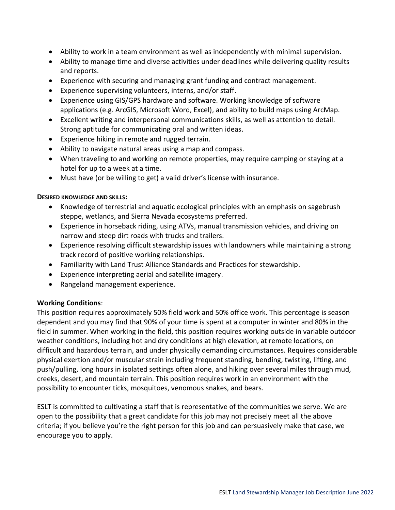- Ability to work in a team environment as well as independently with minimal supervision.
- Ability to manage time and diverse activities under deadlines while delivering quality results and reports.
- Experience with securing and managing grant funding and contract management.
- Experience supervising volunteers, interns, and/or staff.
- Experience using GIS/GPS hardware and software. Working knowledge of software applications (e.g. ArcGIS, Microsoft Word, Excel), and ability to build maps using ArcMap.
- Excellent writing and interpersonal communications skills, as well as attention to detail. Strong aptitude for communicating oral and written ideas.
- Experience hiking in remote and rugged terrain.
- Ability to navigate natural areas using a map and compass.
- When traveling to and working on remote properties, may require camping or staying at a hotel for up to a week at a time.
- Must have (or be willing to get) a valid driver's license with insurance.

#### **DESIRED KNOWLEDGE AND SKILLS:**

- Knowledge of terrestrial and aquatic ecological principles with an emphasis on sagebrush steppe, wetlands, and Sierra Nevada ecosystems preferred.
- Experience in horseback riding, using ATVs, manual transmission vehicles, and driving on narrow and steep dirt roads with trucks and trailers.
- Experience resolving difficult stewardship issues with landowners while maintaining a strong track record of positive working relationships.
- Familiarity with Land Trust Alliance Standards and Practices for stewardship.
- Experience interpreting aerial and satellite imagery.
- Rangeland management experience.

#### **Working Conditions**:

This position requires approximately 50% field work and 50% office work. This percentage is season dependent and you may find that 90% of your time is spent at a computer in winter and 80% in the field in summer. When working in the field, this position requires working outside in variable outdoor weather conditions, including hot and dry conditions at high elevation, at remote locations, on difficult and hazardous terrain, and under physically demanding circumstances. Requires considerable physical exertion and/or muscular strain including frequent standing, bending, twisting, lifting, and push/pulling, long hours in isolated settings often alone, and hiking over several miles through mud, creeks, desert, and mountain terrain. This position requires work in an environment with the possibility to encounter ticks, mosquitoes, venomous snakes, and bears.

ESLT is committed to cultivating a staff that is representative of the communities we serve. We are open to the possibility that a great candidate for this job may not precisely meet all the above criteria; if you believe you're the right person for this job and can persuasively make that case, we encourage you to apply.